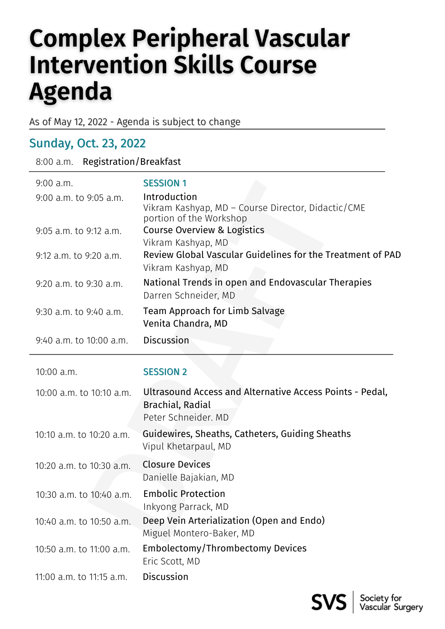## **Complex Peripheral Vascular Intervention Skills Course Agenda**

As of May 12, 2022 - Agenda is subject to change

## Sunday, Oct. 23, 2022

| <b>Registration/Breakfast</b><br>8:00 a.m. |                                                                                                     |  |
|--------------------------------------------|-----------------------------------------------------------------------------------------------------|--|
| $9:00$ a.m.                                | <b>SESSION 1</b>                                                                                    |  |
| 9:00 a.m. to 9:05 a.m.                     | Introduction<br>Vikram Kashyap, MD - Course Director, Didactic/CME<br>portion of the Workshop       |  |
| 9:05 a.m. to 9:12 a.m.                     | Course Overview & Logistics<br>Vikram Kashyap, MD                                                   |  |
| 9:12 a.m. to 9:20 a.m.                     | Review Global Vascular Guidelines for the Treatment of PAD<br>Vikram Kashyap, MD                    |  |
| 9:20 a.m. to 9:30 a.m.                     | National Trends in open and Endovascular Therapies<br>Darren Schneider, MD                          |  |
| 9:30 a.m. to 9:40 a.m.                     | Team Approach for Limb Salvage<br>Venita Chandra, MD                                                |  |
| 9:40 a.m. to 10:00 a.m.                    | <b>Discussion</b>                                                                                   |  |
| 10:00 a.m.                                 | <b>SESSION 2</b>                                                                                    |  |
| 10:00 a.m. to 10:10 a.m.                   | Ultrasound Access and Alternative Access Points - Pedal,<br>Brachial, Radial<br>Peter Schneider. MD |  |
| 10:10 a.m. to 10:20 a.m.                   | Guidewires, Sheaths, Catheters, Guiding Sheaths<br>Vipul Khetarpaul, MD                             |  |
| 10:20 a.m. to 10:30 a.m.                   | <b>Closure Devices</b><br>Danielle Bajakian, MD                                                     |  |
| 10:30 a.m. to 10:40 a.m.                   | <b>Embolic Protection</b><br>Inkyong Parrack, MD                                                    |  |
| 10:40 a.m. to 10:50 a.m.                   | Deep Vein Arterialization (Open and Endo)<br>Miguel Montero-Baker, MD                               |  |
| 10:50 a.m. to 11:00 a.m.                   | Embolectomy/Thrombectomy Devices<br>Eric Scott, MD                                                  |  |
| 11:00 a.m. to 11:15 a.m.                   | Discussion                                                                                          |  |

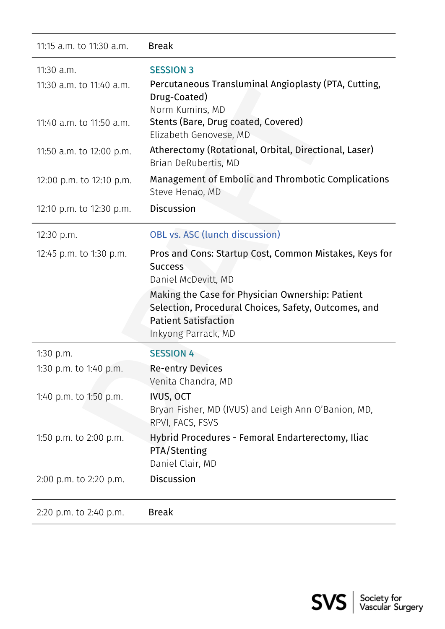| 11:15 a.m. to 11:30 a.m.               | <b>Break</b>                                                                                                                                                                                                                                                      |
|----------------------------------------|-------------------------------------------------------------------------------------------------------------------------------------------------------------------------------------------------------------------------------------------------------------------|
| 11:30 a.m.<br>11:30 a.m. to 11:40 a.m. | <b>SESSION 3</b><br>Percutaneous Transluminal Angioplasty (PTA, Cutting,<br>Drug-Coated)<br>Norm Kumins, MD                                                                                                                                                       |
| 11:40 a.m. to 11:50 a.m.               | Stents (Bare, Drug coated, Covered)<br>Elizabeth Genovese, MD                                                                                                                                                                                                     |
| 11:50 a.m. to 12:00 p.m.               | Atherectomy (Rotational, Orbital, Directional, Laser)<br>Brian DeRubertis, MD                                                                                                                                                                                     |
| 12:00 p.m. to 12:10 p.m.               | Management of Embolic and Thrombotic Complications<br>Steve Henao, MD                                                                                                                                                                                             |
| 12:10 p.m. to 12:30 p.m.               | <b>Discussion</b>                                                                                                                                                                                                                                                 |
| 12:30 p.m.                             | <b>OBL vs. ASC (lunch discussion)</b>                                                                                                                                                                                                                             |
| 12:45 p.m. to 1:30 p.m.                | Pros and Cons: Startup Cost, Common Mistakes, Keys for<br><b>Success</b><br>Daniel McDevitt, MD<br>Making the Case for Physician Ownership: Patient<br>Selection, Procedural Choices, Safety, Outcomes, and<br><b>Patient Satisfaction</b><br>Inkyong Parrack, MD |
| 1:30 $p.m.$                            | <b>SESSION 4</b>                                                                                                                                                                                                                                                  |
| 1:30 p.m. to 1:40 p.m.                 | <b>Re-entry Devices</b><br>Venita Chandra, MD                                                                                                                                                                                                                     |
| 1:40 p.m. to 1:50 p.m.                 | <b>IVUS, OCT</b><br>Bryan Fisher, MD (IVUS) and Leigh Ann O'Banion, MD,<br>RPVI, FACS, FSVS                                                                                                                                                                       |
| 1:50 p.m. to 2:00 p.m.                 | Hybrid Procedures - Femoral Endarterectomy, Iliac<br>PTA/Stenting<br>Daniel Clair, MD                                                                                                                                                                             |
| 2:00 p.m. to 2:20 p.m.                 | <b>Discussion</b>                                                                                                                                                                                                                                                 |
| 2:20 p.m. to 2:40 p.m.                 | <b>Break</b>                                                                                                                                                                                                                                                      |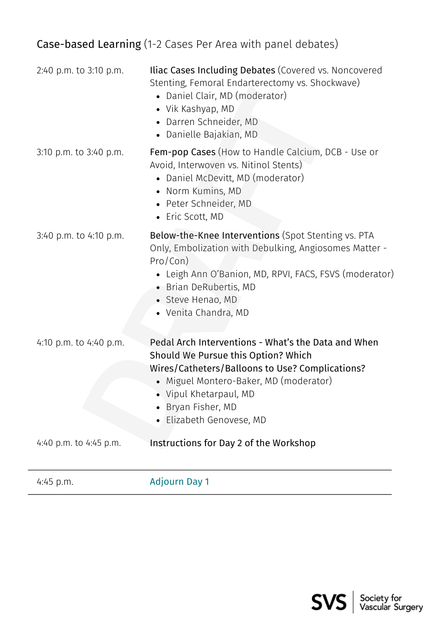## Case-based Learning (1-2 Cases Per Area with panel debates)

| 2:40 p.m. to 3:10 p.m. | <b>Iliac Cases Including Debates</b> (Covered vs. Noncovered<br>Stenting, Femoral Endarterectomy vs. Shockwave)<br>• Daniel Clair, MD (moderator)<br>• Vik Kashyap, MD<br>• Darren Schneider, MD<br>• Danielle Bajakian, MD                                   |
|------------------------|---------------------------------------------------------------------------------------------------------------------------------------------------------------------------------------------------------------------------------------------------------------|
| 3:10 p.m. to 3:40 p.m. | <b>Fem-pop Cases</b> (How to Handle Calcium, DCB - Use or<br>Avoid, Interwoven vs. Nitinol Stents)<br>• Daniel McDevitt, MD (moderator)<br>• Norm Kumins, MD<br>• Peter Schneider, MD<br>• Eric Scott, MD                                                     |
| 3:40 p.m. to 4:10 p.m. | Below-the-Knee Interventions (Spot Stenting vs. PTA<br>Only, Embolization with Debulking, Angiosomes Matter -<br>Pro/Con)<br>• Leigh Ann O'Banion, MD, RPVI, FACS, FSVS (moderator)<br>• Brian DeRubertis, MD<br>• Steve Henao, MD<br>• Venita Chandra, MD    |
| 4:10 p.m. to 4:40 p.m. | Pedal Arch Interventions - What's the Data and When<br>Should We Pursue this Option? Which<br>Wires/Catheters/Balloons to Use? Complications?<br>Miguel Montero-Baker, MD (moderator)<br>• Vipul Khetarpaul, MD<br>Bryan Fisher, MD<br>Elizabeth Genovese, MD |
| 4:40 p.m. to 4:45 p.m. | Instructions for Day 2 of the Workshop                                                                                                                                                                                                                        |
| $4:45$ p.m.            | <b>Adjourn Day 1</b>                                                                                                                                                                                                                                          |

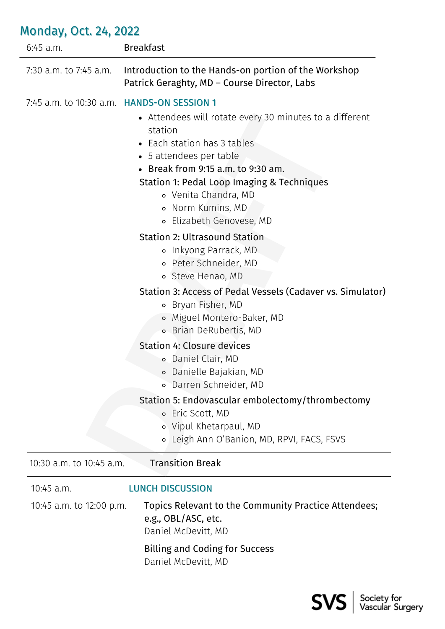| $6:45$ a.m.                                       | <b>Breakfast</b>                                                                                                                                                                                                                                                                          |
|---------------------------------------------------|-------------------------------------------------------------------------------------------------------------------------------------------------------------------------------------------------------------------------------------------------------------------------------------------|
| 7:30 a.m. to 7:45 a.m.                            | Introduction to the Hands-on portion of the Workshop<br>Patrick Geraghty, MD - Course Director, Labs                                                                                                                                                                                      |
| 7:45 a.m. to 10:30 a.m. <b>HANDS-ON SESSION 1</b> | • Attendees will rotate every 30 minutes to a different<br>station<br>• Each station has 3 tables<br>• 5 attendees per table<br>• Break from 9:15 a.m. to 9:30 am.<br>Station 1: Pedal Loop Imaging & Techniques<br>o Venita Chandra, MD<br>o Norm Kumins, MD<br>o Elizabeth Genovese, MD |
|                                                   | <b>Station 2: Ultrasound Station</b><br>o Inkyong Parrack, MD<br>• Peter Schneider, MD<br>o Steve Henao, MD                                                                                                                                                                               |
|                                                   | Station 3: Access of Pedal Vessels (Cadaver vs. Simulator)<br>Bryan Fisher, MD<br>$\circ$<br>o Miguel Montero-Baker, MD<br><b>• Brian DeRubertis, MD</b>                                                                                                                                  |
|                                                   | <b>Station 4: Closure devices</b><br>◦ Daniel Clair, MD<br>Danielle Bajakian, MD<br>$\circ$<br>· Darren Schneider, MD                                                                                                                                                                     |
|                                                   | Station 5: Endovascular embolectomy/thrombectomy<br>Eric Scott, MD<br>$\circ$<br>o Vipul Khetarpaul, MD<br>Leigh Ann O'Banion, MD, RPVI, FACS, FSVS                                                                                                                                       |
| 10:30 a.m. to 10:45 a.m.                          | <b>Transition Break</b>                                                                                                                                                                                                                                                                   |
| $10:45$ a.m.                                      | <b>LUNCH DISCUSSION</b>                                                                                                                                                                                                                                                                   |
| 10:45 a.m. to 12:00 p.m.                          | Topics Relevant to the Community Practice Attendees;<br>e.g., OBL/ASC, etc.<br>Daniel McDevitt, MD                                                                                                                                                                                        |
|                                                   | <b>Billing and Coding for Success</b><br>Daniel McDevitt, MD                                                                                                                                                                                                                              |